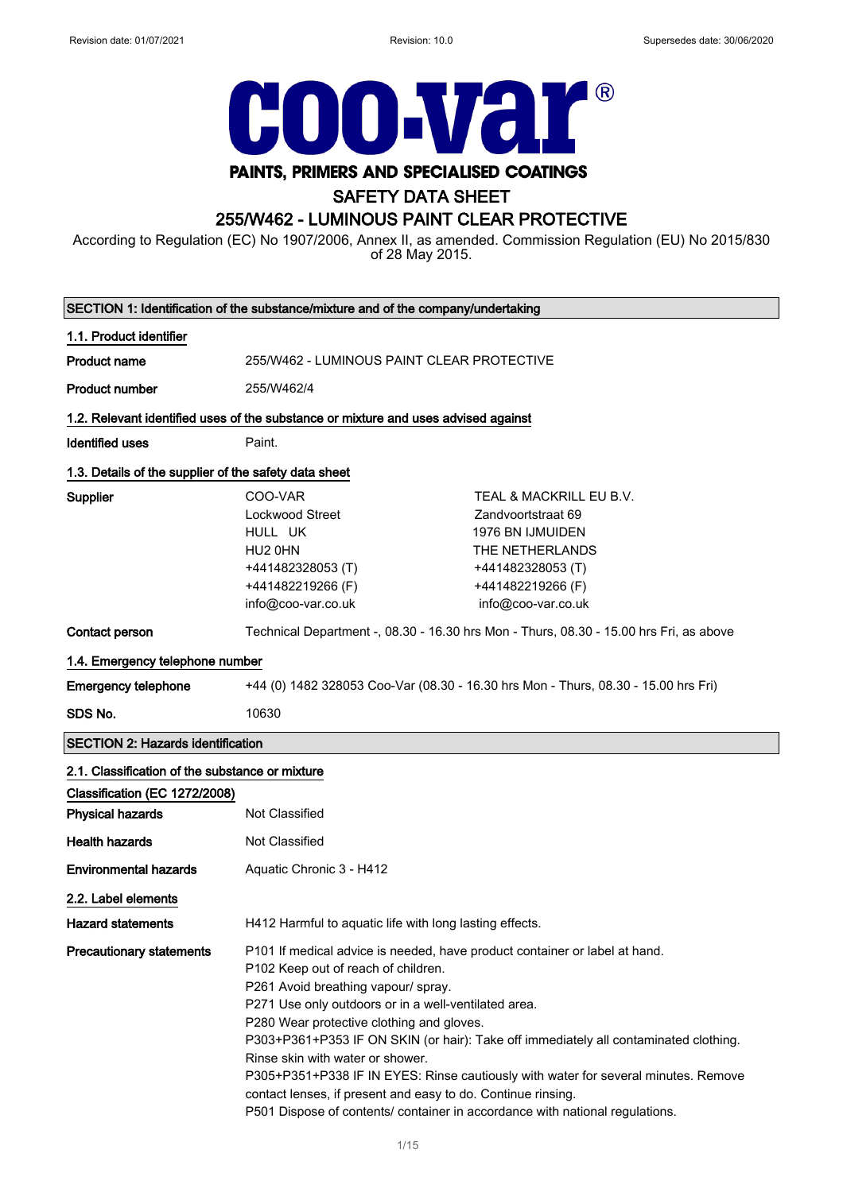

# SAFETY DATA SHEET

# 255/W462 - LUMINOUS PAINT CLEAR PROTECTIVE

According to Regulation (EC) No 1907/2006, Annex II, as amended. Commission Regulation (EU) No 2015/830 of 28 May 2015.

| SECTION 1: Identification of the substance/mixture and of the company/undertaking |                                                                                                                                                                                                                                                                                                                                                                                                                                                                                                                                                                                                                                 |                                                                                                                                                      |  |
|-----------------------------------------------------------------------------------|---------------------------------------------------------------------------------------------------------------------------------------------------------------------------------------------------------------------------------------------------------------------------------------------------------------------------------------------------------------------------------------------------------------------------------------------------------------------------------------------------------------------------------------------------------------------------------------------------------------------------------|------------------------------------------------------------------------------------------------------------------------------------------------------|--|
| 1.1. Product identifier                                                           |                                                                                                                                                                                                                                                                                                                                                                                                                                                                                                                                                                                                                                 |                                                                                                                                                      |  |
| <b>Product name</b>                                                               | 255/W462 - LUMINOUS PAINT CLEAR PROTECTIVE                                                                                                                                                                                                                                                                                                                                                                                                                                                                                                                                                                                      |                                                                                                                                                      |  |
| <b>Product number</b>                                                             | 255/W462/4                                                                                                                                                                                                                                                                                                                                                                                                                                                                                                                                                                                                                      |                                                                                                                                                      |  |
|                                                                                   | 1.2. Relevant identified uses of the substance or mixture and uses advised against                                                                                                                                                                                                                                                                                                                                                                                                                                                                                                                                              |                                                                                                                                                      |  |
| <b>Identified uses</b>                                                            | Paint.                                                                                                                                                                                                                                                                                                                                                                                                                                                                                                                                                                                                                          |                                                                                                                                                      |  |
| 1.3. Details of the supplier of the safety data sheet                             |                                                                                                                                                                                                                                                                                                                                                                                                                                                                                                                                                                                                                                 |                                                                                                                                                      |  |
| Supplier                                                                          | COO-VAR<br>Lockwood Street<br>HULL UK<br>HU2 0HN<br>+441482328053 (T)<br>+441482219266 (F)<br>info@coo-var.co.uk                                                                                                                                                                                                                                                                                                                                                                                                                                                                                                                | TEAL & MACKRILL EU B.V.<br>Zandvoortstraat 69<br>1976 BN IJMUIDEN<br>THE NETHERLANDS<br>+441482328053 (T)<br>+441482219266 (F)<br>info@coo-var.co.uk |  |
| Contact person                                                                    |                                                                                                                                                                                                                                                                                                                                                                                                                                                                                                                                                                                                                                 | Technical Department -, 08.30 - 16.30 hrs Mon - Thurs, 08.30 - 15.00 hrs Fri, as above                                                               |  |
| 1.4. Emergency telephone number                                                   |                                                                                                                                                                                                                                                                                                                                                                                                                                                                                                                                                                                                                                 |                                                                                                                                                      |  |
| <b>Emergency telephone</b>                                                        | +44 (0) 1482 328053 Coo-Var (08.30 - 16.30 hrs Mon - Thurs, 08.30 - 15.00 hrs Fri)                                                                                                                                                                                                                                                                                                                                                                                                                                                                                                                                              |                                                                                                                                                      |  |
| SDS No.                                                                           | 10630                                                                                                                                                                                                                                                                                                                                                                                                                                                                                                                                                                                                                           |                                                                                                                                                      |  |
| <b>SECTION 2: Hazards identification</b>                                          |                                                                                                                                                                                                                                                                                                                                                                                                                                                                                                                                                                                                                                 |                                                                                                                                                      |  |
| 2.1. Classification of the substance or mixture                                   |                                                                                                                                                                                                                                                                                                                                                                                                                                                                                                                                                                                                                                 |                                                                                                                                                      |  |
| Classification (EC 1272/2008)                                                     |                                                                                                                                                                                                                                                                                                                                                                                                                                                                                                                                                                                                                                 |                                                                                                                                                      |  |
| <b>Physical hazards</b>                                                           | Not Classified                                                                                                                                                                                                                                                                                                                                                                                                                                                                                                                                                                                                                  |                                                                                                                                                      |  |
| <b>Health hazards</b>                                                             | Not Classified                                                                                                                                                                                                                                                                                                                                                                                                                                                                                                                                                                                                                  |                                                                                                                                                      |  |
| <b>Environmental hazards</b>                                                      | Aquatic Chronic 3 - H412                                                                                                                                                                                                                                                                                                                                                                                                                                                                                                                                                                                                        |                                                                                                                                                      |  |
| 2.2. Label elements                                                               |                                                                                                                                                                                                                                                                                                                                                                                                                                                                                                                                                                                                                                 |                                                                                                                                                      |  |
| <b>Hazard statements</b>                                                          | H412 Harmful to aquatic life with long lasting effects.                                                                                                                                                                                                                                                                                                                                                                                                                                                                                                                                                                         |                                                                                                                                                      |  |
| <b>Precautionary statements</b>                                                   | P101 If medical advice is needed, have product container or label at hand.<br>P102 Keep out of reach of children.<br>P261 Avoid breathing vapour/ spray.<br>P271 Use only outdoors or in a well-ventilated area.<br>P280 Wear protective clothing and gloves.<br>P303+P361+P353 IF ON SKIN (or hair): Take off immediately all contaminated clothing.<br>Rinse skin with water or shower.<br>P305+P351+P338 IF IN EYES: Rinse cautiously with water for several minutes. Remove<br>contact lenses, if present and easy to do. Continue rinsing.<br>P501 Dispose of contents/ container in accordance with national regulations. |                                                                                                                                                      |  |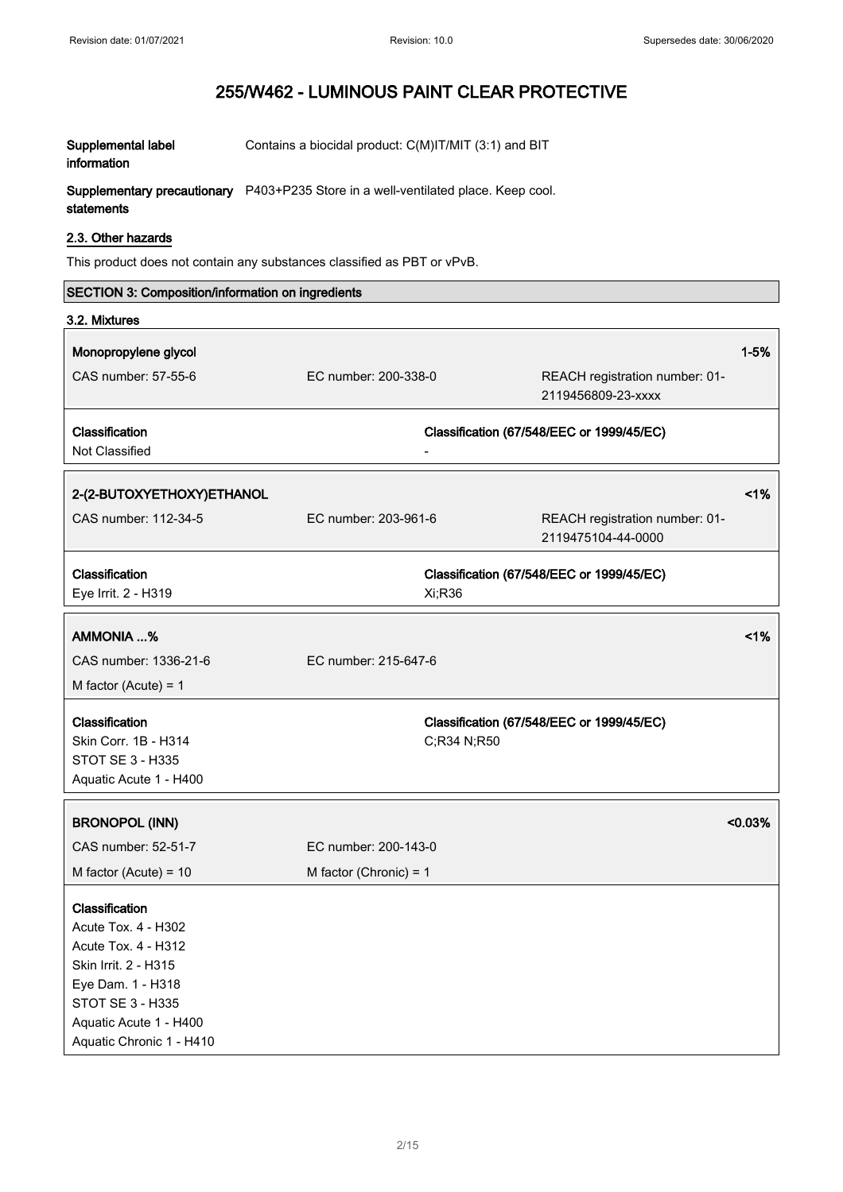| Supplemental label          | Contains a biocidal product: C(M)IT/MIT (3:1) and BIT  |
|-----------------------------|--------------------------------------------------------|
| information                 |                                                        |
| Supplementary precautionary | P403+P235 Store in a well-ventilated place. Keep cool. |

 $\boldsymbol{\mathsf{supplementary}}$  precautionary statements 403+P235 Store in a well-ventilated place. Keep co

## 2.3. Other hazards

This product does not contain any substances classified as PBT or vPvB.

| SECTION 3: Composition/information on ingredients                                                                                                                                   |                          |                                                          |
|-------------------------------------------------------------------------------------------------------------------------------------------------------------------------------------|--------------------------|----------------------------------------------------------|
| 3.2. Mixtures                                                                                                                                                                       |                          |                                                          |
| Monopropylene glycol                                                                                                                                                                |                          | $1 - 5%$                                                 |
| CAS number: 57-55-6                                                                                                                                                                 | EC number: 200-338-0     | REACH registration number: 01-<br>2119456809-23-xxxx     |
| Classification<br>Not Classified                                                                                                                                                    |                          | Classification (67/548/EEC or 1999/45/EC)                |
| 2-(2-BUTOXYETHOXY)ETHANOL                                                                                                                                                           |                          | 1%                                                       |
| CAS number: 112-34-5                                                                                                                                                                | EC number: 203-961-6     | REACH registration number: 01-<br>2119475104-44-0000     |
| Classification<br>Eye Irrit. 2 - H319                                                                                                                                               |                          | Classification (67/548/EEC or 1999/45/EC)<br>Xi;R36      |
| AMMONIA %                                                                                                                                                                           |                          | 1%                                                       |
| CAS number: 1336-21-6                                                                                                                                                               | EC number: 215-647-6     |                                                          |
| M factor (Acute) = $1$                                                                                                                                                              |                          |                                                          |
| Classification<br>Skin Corr. 1B - H314<br>STOT SE 3 - H335<br>Aquatic Acute 1 - H400                                                                                                |                          | Classification (67/548/EEC or 1999/45/EC)<br>C;R34 N;R50 |
| <b>BRONOPOL (INN)</b>                                                                                                                                                               |                          | < 0.03%                                                  |
| CAS number: 52-51-7                                                                                                                                                                 | EC number: 200-143-0     |                                                          |
| M factor (Acute) = $10$                                                                                                                                                             | M factor (Chronic) = $1$ |                                                          |
| Classification<br>Acute Tox. 4 - H302<br>Acute Tox. 4 - H312<br>Skin Irrit. 2 - H315<br>Eye Dam. 1 - H318<br>STOT SE 3 - H335<br>Aquatic Acute 1 - H400<br>Aquatic Chronic 1 - H410 |                          |                                                          |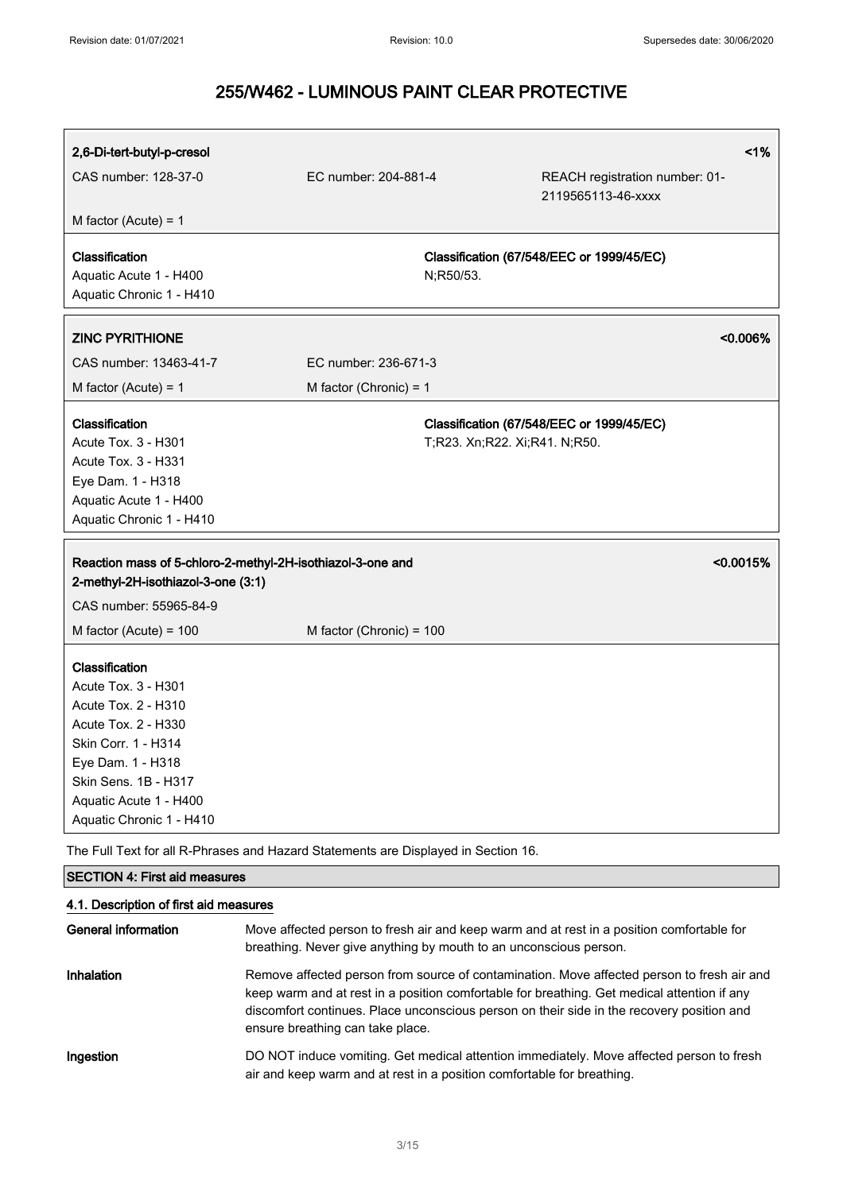| 2,6-Di-tert-butyl-p-cresol                                                                                                                                                                                    |                                                            | $1\%$                                                                                                                                                                                                                                                                                  |
|---------------------------------------------------------------------------------------------------------------------------------------------------------------------------------------------------------------|------------------------------------------------------------|----------------------------------------------------------------------------------------------------------------------------------------------------------------------------------------------------------------------------------------------------------------------------------------|
| CAS number: 128-37-0                                                                                                                                                                                          | EC number: 204-881-4                                       | REACH registration number: 01-<br>2119565113-46-xxxx                                                                                                                                                                                                                                   |
| M factor (Acute) = $1$                                                                                                                                                                                        |                                                            |                                                                                                                                                                                                                                                                                        |
| Classification<br>Aquatic Acute 1 - H400<br>Aquatic Chronic 1 - H410                                                                                                                                          |                                                            | Classification (67/548/EEC or 1999/45/EC)<br>N;R50/53.                                                                                                                                                                                                                                 |
| <b>ZINC PYRITHIONE</b>                                                                                                                                                                                        |                                                            | $< 0.006\%$                                                                                                                                                                                                                                                                            |
| CAS number: 13463-41-7                                                                                                                                                                                        | EC number: 236-671-3                                       |                                                                                                                                                                                                                                                                                        |
| M factor (Acute) = $1$                                                                                                                                                                                        | M factor (Chronic) = $1$                                   |                                                                                                                                                                                                                                                                                        |
| Classification<br>Acute Tox. 3 - H301<br>Acute Tox. 3 - H331<br>Eye Dam. 1 - H318<br>Aquatic Acute 1 - H400<br>Aquatic Chronic 1 - H410                                                                       |                                                            | Classification (67/548/EEC or 1999/45/EC)<br>T;R23. Xn;R22. Xi;R41. N;R50.                                                                                                                                                                                                             |
| 2-methyl-2H-isothiazol-3-one (3:1)<br>CAS number: 55965-84-9                                                                                                                                                  | Reaction mass of 5-chloro-2-methyl-2H-isothiazol-3-one and | < 0.0015%                                                                                                                                                                                                                                                                              |
| M factor (Acute) = $100$                                                                                                                                                                                      | M factor (Chronic) = 100                                   |                                                                                                                                                                                                                                                                                        |
| Classification<br>Acute Tox. 3 - H301<br>Acute Tox. 2 - H310<br>Acute Tox. 2 - H330<br>Skin Corr. 1 - H314<br>Eye Dam. 1 - H318<br>Skin Sens. 1B - H317<br>Aquatic Acute 1 - H400<br>Aquatic Chronic 1 - H410 |                                                            |                                                                                                                                                                                                                                                                                        |
| The Full Text for all R-Phrases and Hazard Statements are Displayed in Section 16.                                                                                                                            |                                                            |                                                                                                                                                                                                                                                                                        |
| <b>SECTION 4: First aid measures</b>                                                                                                                                                                          |                                                            |                                                                                                                                                                                                                                                                                        |
| 4.1. Description of first aid measures                                                                                                                                                                        |                                                            |                                                                                                                                                                                                                                                                                        |
| <b>General information</b>                                                                                                                                                                                    |                                                            | Move affected person to fresh air and keep warm and at rest in a position comfortable for<br>breathing. Never give anything by mouth to an unconscious person.                                                                                                                         |
| Inhalation                                                                                                                                                                                                    | ensure breathing can take place.                           | Remove affected person from source of contamination. Move affected person to fresh air and<br>keep warm and at rest in a position comfortable for breathing. Get medical attention if any<br>discomfort continues. Place unconscious person on their side in the recovery position and |
| Ingestion                                                                                                                                                                                                     |                                                            | DO NOT induce vomiting. Get medical attention immediately. Move affected person to fresh<br>air and keep warm and at rest in a position comfortable for breathing.                                                                                                                     |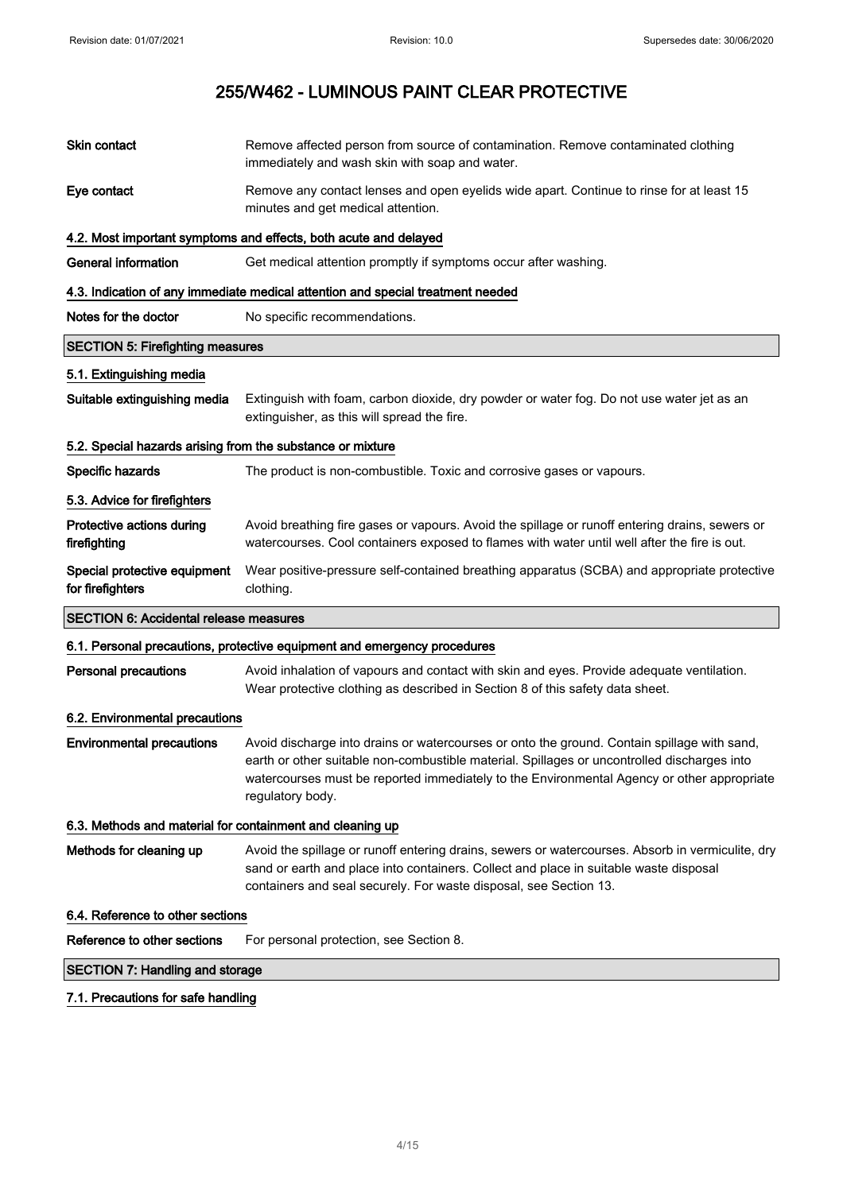| Skin contact                                               | Remove affected person from source of contamination. Remove contaminated clothing<br>immediately and wash skin with soap and water.                                                                                                                                                                          |  |
|------------------------------------------------------------|--------------------------------------------------------------------------------------------------------------------------------------------------------------------------------------------------------------------------------------------------------------------------------------------------------------|--|
| Eye contact                                                | Remove any contact lenses and open eyelids wide apart. Continue to rinse for at least 15<br>minutes and get medical attention.                                                                                                                                                                               |  |
|                                                            | 4.2. Most important symptoms and effects, both acute and delayed                                                                                                                                                                                                                                             |  |
| <b>General information</b>                                 | Get medical attention promptly if symptoms occur after washing.                                                                                                                                                                                                                                              |  |
|                                                            | 4.3. Indication of any immediate medical attention and special treatment needed                                                                                                                                                                                                                              |  |
| Notes for the doctor                                       | No specific recommendations.                                                                                                                                                                                                                                                                                 |  |
| <b>SECTION 5: Firefighting measures</b>                    |                                                                                                                                                                                                                                                                                                              |  |
| 5.1. Extinguishing media                                   |                                                                                                                                                                                                                                                                                                              |  |
| Suitable extinguishing media                               | Extinguish with foam, carbon dioxide, dry powder or water fog. Do not use water jet as an<br>extinguisher, as this will spread the fire.                                                                                                                                                                     |  |
| 5.2. Special hazards arising from the substance or mixture |                                                                                                                                                                                                                                                                                                              |  |
| Specific hazards                                           | The product is non-combustible. Toxic and corrosive gases or vapours.                                                                                                                                                                                                                                        |  |
| 5.3. Advice for firefighters                               |                                                                                                                                                                                                                                                                                                              |  |
| Protective actions during<br>firefighting                  | Avoid breathing fire gases or vapours. Avoid the spillage or runoff entering drains, sewers or<br>watercourses. Cool containers exposed to flames with water until well after the fire is out.                                                                                                               |  |
| Special protective equipment<br>for firefighters           | Wear positive-pressure self-contained breathing apparatus (SCBA) and appropriate protective<br>clothing.                                                                                                                                                                                                     |  |
| <b>SECTION 6: Accidental release measures</b>              |                                                                                                                                                                                                                                                                                                              |  |
|                                                            | 6.1. Personal precautions, protective equipment and emergency procedures                                                                                                                                                                                                                                     |  |
| <b>Personal precautions</b>                                | Avoid inhalation of vapours and contact with skin and eyes. Provide adequate ventilation.<br>Wear protective clothing as described in Section 8 of this safety data sheet.                                                                                                                                   |  |
| 6.2. Environmental precautions                             |                                                                                                                                                                                                                                                                                                              |  |
| <b>Environmental precautions</b>                           | Avoid discharge into drains or watercourses or onto the ground. Contain spillage with sand,<br>earth or other suitable non-combustible material. Spillages or uncontrolled discharges into<br>watercourses must be reported immediately to the Environmental Agency or other appropriate<br>regulatory body. |  |
| 6.3. Methods and material for containment and cleaning up  |                                                                                                                                                                                                                                                                                                              |  |
| Methods for cleaning up                                    | Avoid the spillage or runoff entering drains, sewers or watercourses. Absorb in vermiculite, dry<br>sand or earth and place into containers. Collect and place in suitable waste disposal<br>containers and seal securely. For waste disposal, see Section 13.                                               |  |
| 6.4. Reference to other sections                           |                                                                                                                                                                                                                                                                                                              |  |
| Reference to other sections                                | For personal protection, see Section 8.                                                                                                                                                                                                                                                                      |  |
| <b>SECTION 7: Handling and storage</b>                     |                                                                                                                                                                                                                                                                                                              |  |
| 7.1. Precautions for safe handling                         |                                                                                                                                                                                                                                                                                                              |  |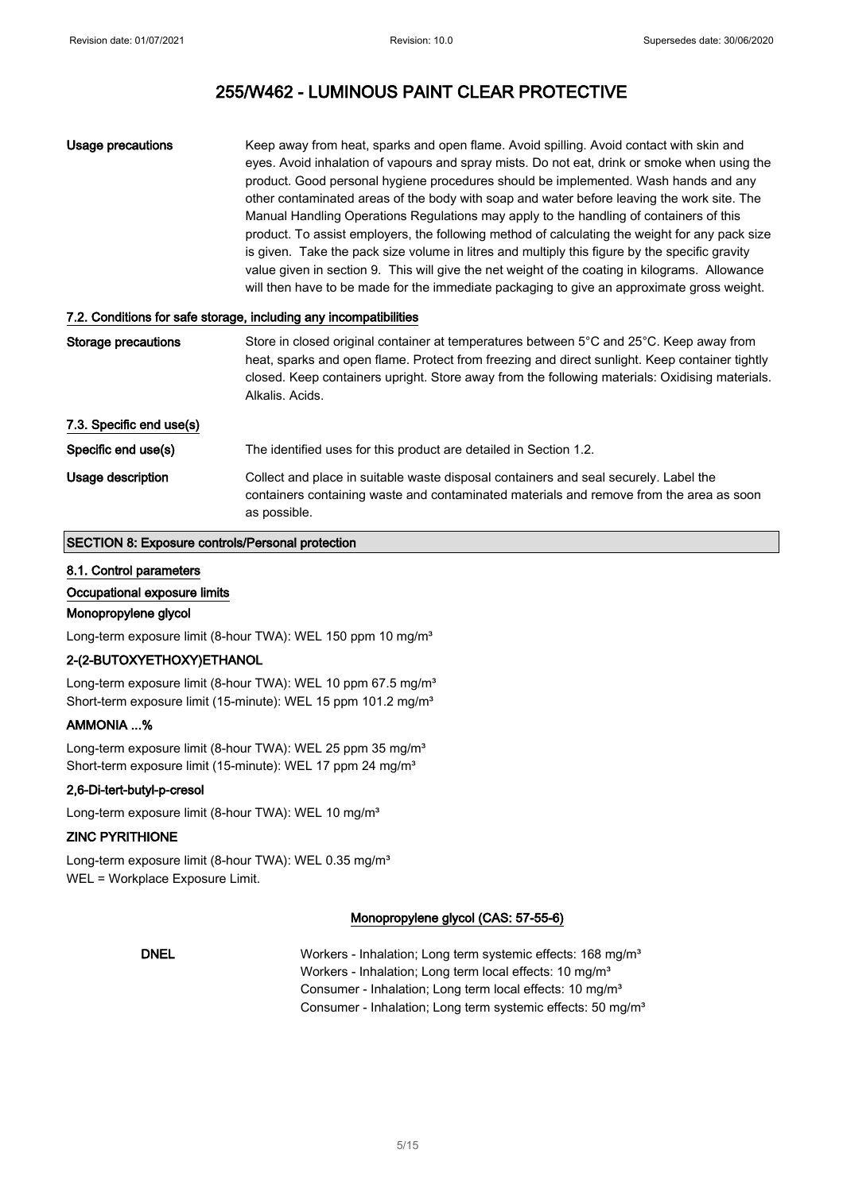| Usage precautions | Keep away from heat, sparks and open flame. Avoid spilling. Avoid contact with skin and        |
|-------------------|------------------------------------------------------------------------------------------------|
|                   | eyes. Avoid inhalation of vapours and spray mists. Do not eat, drink or smoke when using the   |
|                   | product. Good personal hygiene procedures should be implemented. Wash hands and any            |
|                   | other contaminated areas of the body with soap and water before leaving the work site. The     |
|                   | Manual Handling Operations Regulations may apply to the handling of containers of this         |
|                   | product. To assist employers, the following method of calculating the weight for any pack size |
|                   | is given. Take the pack size volume in litres and multiply this figure by the specific gravity |
|                   | value given in section 9. This will give the net weight of the coating in kilograms. Allowance |
|                   | will then have to be made for the immediate packaging to give an approximate gross weight.     |

#### 7.2. Conditions for safe storage, including any incompatibilities

| Storage precautions      | Store in closed original container at temperatures between 5°C and 25°C. Keep away from<br>heat, sparks and open flame. Protect from freezing and direct sunlight. Keep container tightly<br>closed. Keep containers upright. Store away from the following materials: Oxidising materials.<br>Alkalis, Acids, |
|--------------------------|----------------------------------------------------------------------------------------------------------------------------------------------------------------------------------------------------------------------------------------------------------------------------------------------------------------|
| 7.3. Specific end use(s) |                                                                                                                                                                                                                                                                                                                |
| Specific end use(s)      | The identified uses for this product are detailed in Section 1.2.                                                                                                                                                                                                                                              |
| Usage description        | Collect and place in suitable waste disposal containers and seal securely. Label the<br>containers containing waste and contaminated materials and remove from the area as soon<br>as possible.                                                                                                                |

## SECTION 8: Exposure controls/Personal protection

#### 8.1. Control parameters

Occupational exposure limits

#### Monopropylene glycol

Long-term exposure limit (8-hour TWA): WEL 150 ppm 10 mg/m<sup>3</sup>

## 2-(2-BUTOXYETHOXY)ETHANOL

Long-term exposure limit (8-hour TWA): WEL 10 ppm 67.5 mg/m<sup>3</sup> Short-term exposure limit (15-minute): WEL 15 ppm 101.2 mg/m<sup>3</sup>

## AMMONIA ...%

Long-term exposure limit (8-hour TWA): WEL 25 ppm 35 mg/m<sup>3</sup> Short-term exposure limit (15-minute): WEL 17 ppm 24 mg/m<sup>3</sup>

#### 2,6-Di-tert-butyl-p-cresol

Long-term exposure limit (8-hour TWA): WEL 10 mg/m<sup>3</sup>

## ZINC PYRITHIONE

Long-term exposure limit (8-hour TWA): WEL 0.35 mg/m<sup>3</sup> WEL = Workplace Exposure Limit.

#### Monopropylene glycol (CAS: 57-55-6)

DNEL Workers - Inhalation; Long term systemic effects: 168 mg/m<sup>3</sup> Workers - Inhalation; Long term local effects: 10 mg/m<sup>3</sup> Consumer - Inhalation; Long term local effects: 10 mg/m<sup>3</sup> Consumer - Inhalation; Long term systemic effects: 50 mg/m<sup>3</sup>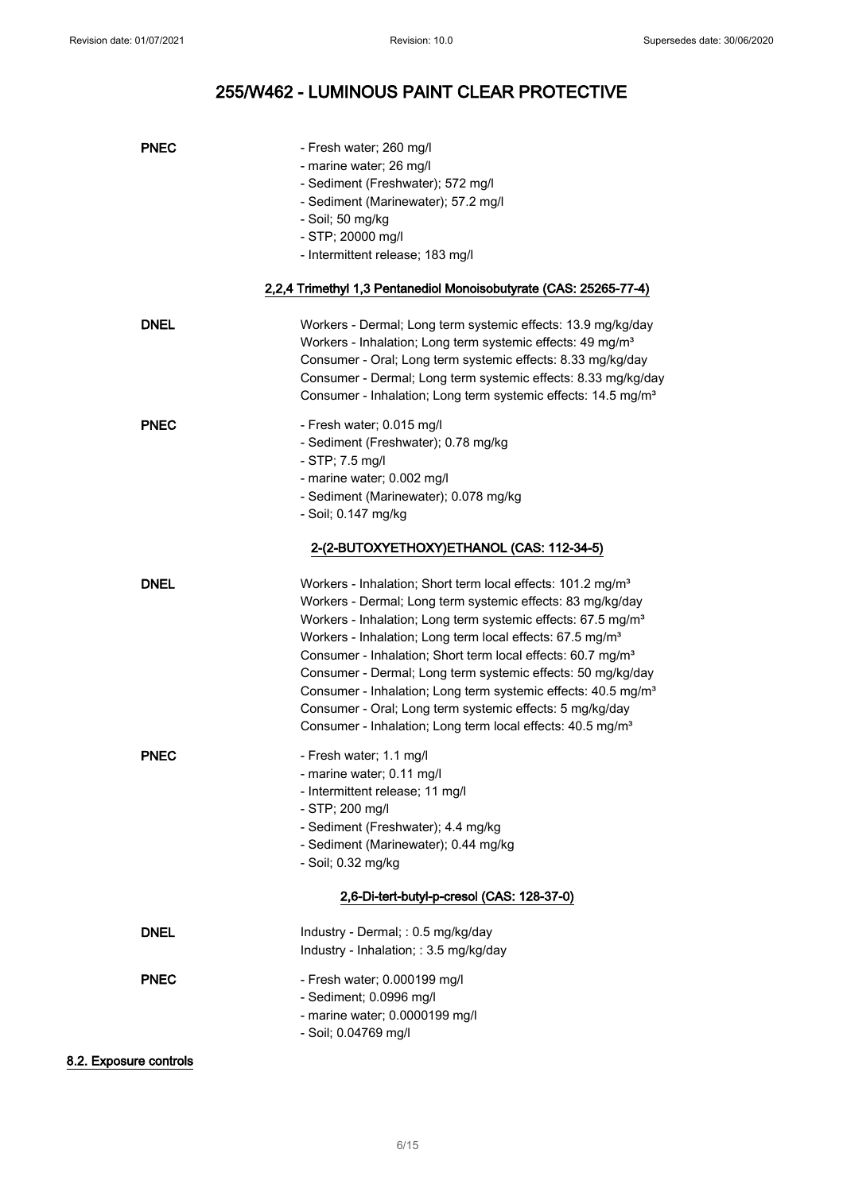| <b>PNEC</b> | - Fresh water; 260 mg/l                                                   |
|-------------|---------------------------------------------------------------------------|
|             | - marine water; 26 mg/l                                                   |
|             | - Sediment (Freshwater); 572 mg/l                                         |
|             | - Sediment (Marinewater); 57.2 mg/l                                       |
|             | - Soil; 50 mg/kg                                                          |
|             | - STP; 20000 mg/l                                                         |
|             | - Intermittent release; 183 mg/l                                          |
|             |                                                                           |
|             | 2,2,4 Trimethyl 1,3 Pentanediol Monoisobutyrate (CAS: 25265-77-4)         |
| <b>DNEL</b> | Workers - Dermal; Long term systemic effects: 13.9 mg/kg/day              |
|             | Workers - Inhalation; Long term systemic effects: 49 mg/m <sup>3</sup>    |
|             | Consumer - Oral; Long term systemic effects: 8.33 mg/kg/day               |
|             | Consumer - Dermal; Long term systemic effects: 8.33 mg/kg/day             |
|             |                                                                           |
|             | Consumer - Inhalation; Long term systemic effects: 14.5 mg/m <sup>3</sup> |
| <b>PNEC</b> | - Fresh water; 0.015 mg/l                                                 |
|             | - Sediment (Freshwater); 0.78 mg/kg                                       |
|             | $-$ STP; 7.5 mg/l                                                         |
|             | - marine water; 0.002 mg/l                                                |
|             | - Sediment (Marinewater); 0.078 mg/kg                                     |
|             | - Soil; 0.147 mg/kg                                                       |
|             |                                                                           |
|             | 2-(2-BUTOXYETHOXY)ETHANOL (CAS: 112-34-5)                                 |
| <b>DNEL</b> | Workers - Inhalation; Short term local effects: 101.2 mg/m <sup>3</sup>   |
|             | Workers - Dermal; Long term systemic effects: 83 mg/kg/day                |
|             | Workers - Inhalation; Long term systemic effects: 67.5 mg/m <sup>3</sup>  |
|             | Workers - Inhalation; Long term local effects: 67.5 mg/m <sup>3</sup>     |
|             | Consumer - Inhalation; Short term local effects: 60.7 mg/m <sup>3</sup>   |
|             | Consumer - Dermal; Long term systemic effects: 50 mg/kg/day               |
|             |                                                                           |
|             | Consumer - Inhalation; Long term systemic effects: 40.5 mg/m <sup>3</sup> |
|             | Consumer - Oral; Long term systemic effects: 5 mg/kg/day                  |
|             | Consumer - Inhalation; Long term local effects: 40.5 mg/m <sup>3</sup>    |
| <b>PNEC</b> | - Fresh water; 1.1 mg/l                                                   |
|             | - marine water; 0.11 mg/l                                                 |
|             | - Intermittent release; 11 mg/l                                           |
|             | - STP; 200 mg/l                                                           |
|             | - Sediment (Freshwater); 4.4 mg/kg                                        |
|             | - Sediment (Marinewater); 0.44 mg/kg                                      |
|             |                                                                           |
|             | - Soil; 0.32 mg/kg                                                        |
|             | 2,6-Di-tert-butyl-p-cresol (CAS: 128-37-0)                                |
|             | Industry - Dermal; : 0.5 mg/kg/day                                        |
| <b>DNEL</b> |                                                                           |
|             | Industry - Inhalation; : 3.5 mg/kg/day                                    |
| <b>PNEC</b> | - Fresh water; 0.000199 mg/l                                              |
|             | - Sediment; 0.0996 mg/l                                                   |
|             | - marine water; 0.0000199 mg/l                                            |
|             | - Soil; 0.04769 mg/l                                                      |
|             |                                                                           |
|             |                                                                           |

## 8.2. Exposure controls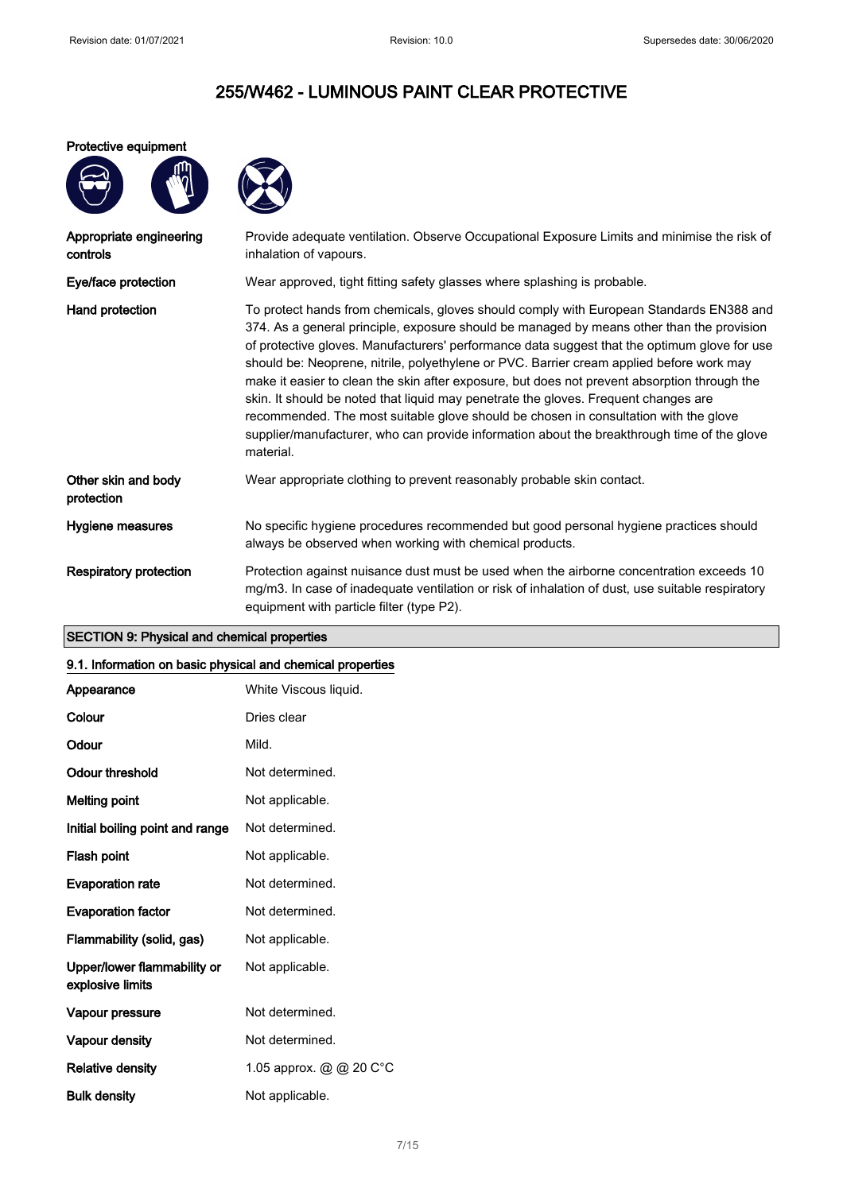### Protective equipment



| Appropriate engineering<br>controls | Provide adequate ventilation. Observe Occupational Exposure Limits and minimise the risk of<br>inhalation of vapours.                                                                                                                                                                                                                                                                                                                                                                                                                                                                                                                                                                                                                                                       |
|-------------------------------------|-----------------------------------------------------------------------------------------------------------------------------------------------------------------------------------------------------------------------------------------------------------------------------------------------------------------------------------------------------------------------------------------------------------------------------------------------------------------------------------------------------------------------------------------------------------------------------------------------------------------------------------------------------------------------------------------------------------------------------------------------------------------------------|
| Eye/face protection                 | Wear approved, tight fitting safety glasses where splashing is probable.                                                                                                                                                                                                                                                                                                                                                                                                                                                                                                                                                                                                                                                                                                    |
| Hand protection                     | To protect hands from chemicals, gloves should comply with European Standards EN388 and<br>374. As a general principle, exposure should be managed by means other than the provision<br>of protective gloves. Manufacturers' performance data suggest that the optimum glove for use<br>should be: Neoprene, nitrile, polyethylene or PVC. Barrier cream applied before work may<br>make it easier to clean the skin after exposure, but does not prevent absorption through the<br>skin. It should be noted that liquid may penetrate the gloves. Frequent changes are<br>recommended. The most suitable glove should be chosen in consultation with the glove<br>supplier/manufacturer, who can provide information about the breakthrough time of the glove<br>material. |
| Other skin and body<br>protection   | Wear appropriate clothing to prevent reasonably probable skin contact.                                                                                                                                                                                                                                                                                                                                                                                                                                                                                                                                                                                                                                                                                                      |
| Hygiene measures                    | No specific hygiene procedures recommended but good personal hygiene practices should<br>always be observed when working with chemical products.                                                                                                                                                                                                                                                                                                                                                                                                                                                                                                                                                                                                                            |
| <b>Respiratory protection</b>       | Protection against nuisance dust must be used when the airborne concentration exceeds 10<br>mg/m3. In case of inadequate ventilation or risk of inhalation of dust, use suitable respiratory<br>equipment with particle filter (type P2).                                                                                                                                                                                                                                                                                                                                                                                                                                                                                                                                   |

# SECTION 9: Physical and chemical properties

#### 9.1. Information on basic physical and chemical properties

|                                                 | . .                     |
|-------------------------------------------------|-------------------------|
| Appearance                                      | White Viscous liquid.   |
| Colour                                          | Dries clear             |
| Odour                                           | Mild.                   |
| <b>Odour threshold</b>                          | Not determined.         |
| <b>Melting point</b>                            | Not applicable.         |
| Initial boiling point and range                 | Not determined.         |
| Flash point                                     | Not applicable.         |
| <b>Evaporation rate</b>                         | Not determined.         |
| <b>Evaporation factor</b>                       | Not determined.         |
| Flammability (solid, gas)                       | Not applicable.         |
| Upper/lower flammability or<br>explosive limits | Not applicable.         |
| Vapour pressure                                 | Not determined.         |
| Vapour density                                  | Not determined.         |
| <b>Relative density</b>                         | 1.05 approx. @ @ 20 C°C |
| <b>Bulk density</b>                             | Not applicable.         |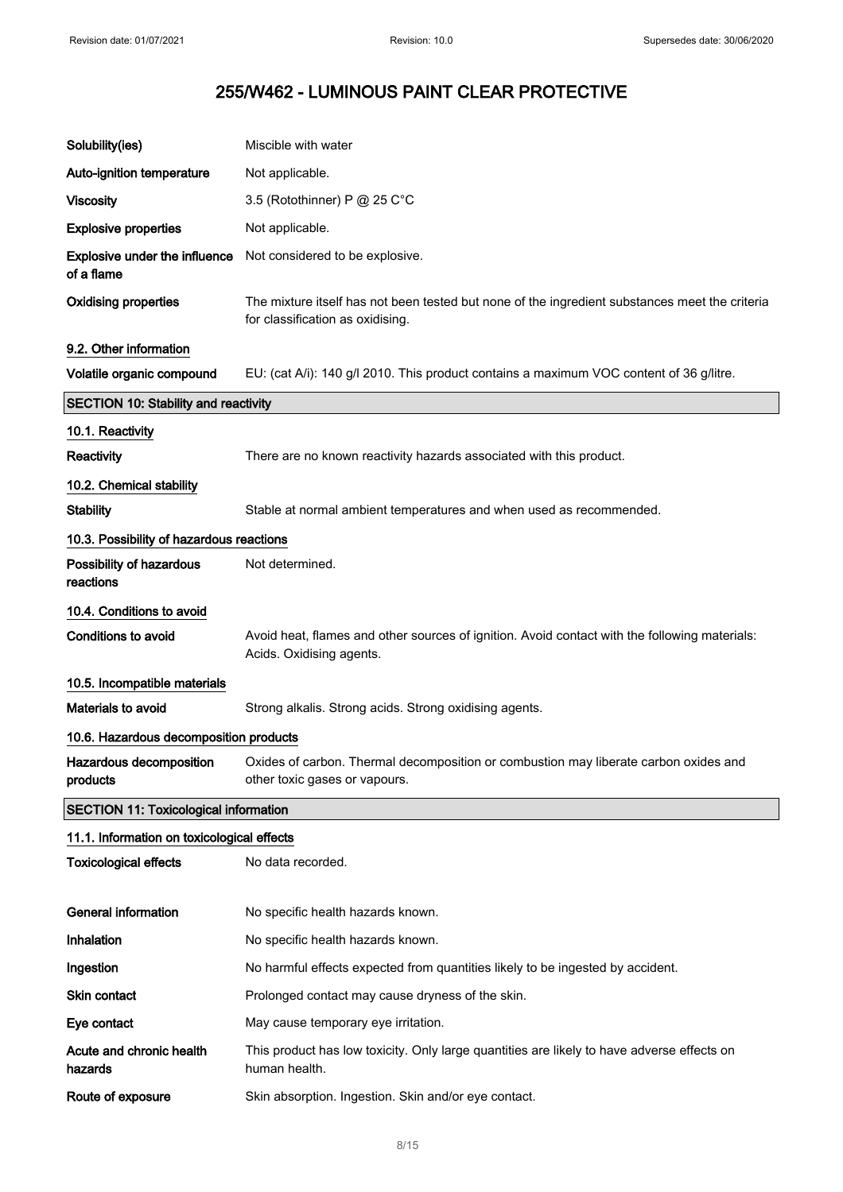| Solubility(ies)                                     | Miscible with water                                                                                                                |
|-----------------------------------------------------|------------------------------------------------------------------------------------------------------------------------------------|
| Auto-ignition temperature                           | Not applicable.                                                                                                                    |
| <b>Viscosity</b>                                    | 3.5 (Rotothinner) P @ 25 C°C                                                                                                       |
| <b>Explosive properties</b>                         | Not applicable.                                                                                                                    |
| Explosive under the influence<br>of a flame         | Not considered to be explosive.                                                                                                    |
| <b>Oxidising properties</b>                         | The mixture itself has not been tested but none of the ingredient substances meet the criteria<br>for classification as oxidising. |
| 9.2. Other information<br>Volatile organic compound | EU: (cat A/i): 140 g/l 2010. This product contains a maximum VOC content of 36 g/litre.                                            |
| <b>SECTION 10: Stability and reactivity</b>         |                                                                                                                                    |
| 10.1. Reactivity                                    |                                                                                                                                    |
| Reactivity                                          | There are no known reactivity hazards associated with this product.                                                                |
| 10.2. Chemical stability                            |                                                                                                                                    |
| <b>Stability</b>                                    | Stable at normal ambient temperatures and when used as recommended.                                                                |
| 10.3. Possibility of hazardous reactions            |                                                                                                                                    |
| Possibility of hazardous<br>reactions               | Not determined.                                                                                                                    |
| 10.4. Conditions to avoid                           |                                                                                                                                    |
| <b>Conditions to avoid</b>                          | Avoid heat, flames and other sources of ignition. Avoid contact with the following materials:<br>Acids. Oxidising agents.          |
| 10.5. Incompatible materials                        |                                                                                                                                    |
| Materials to avoid                                  | Strong alkalis. Strong acids. Strong oxidising agents.                                                                             |
| 10.6. Hazardous decomposition products              |                                                                                                                                    |
| Hazardous decomposition<br>products                 | Oxides of carbon. Thermal decomposition or combustion may liberate carbon oxides and<br>other toxic gases or vapours.              |
| <b>SECTION 11: Toxicological information</b>        |                                                                                                                                    |
| 11.1. Information on toxicological effects          |                                                                                                                                    |
| <b>Toxicological effects</b>                        | No data recorded.                                                                                                                  |
| <b>General information</b>                          | No specific health hazards known.                                                                                                  |
| Inhalation                                          | No specific health hazards known.                                                                                                  |
| Ingestion                                           | No harmful effects expected from quantities likely to be ingested by accident.                                                     |
| Skin contact                                        | Prolonged contact may cause dryness of the skin.                                                                                   |
| Eye contact                                         | May cause temporary eye irritation.                                                                                                |
| Acute and chronic health<br>hazards                 | This product has low toxicity. Only large quantities are likely to have adverse effects on<br>human health.                        |
| Route of exposure                                   | Skin absorption. Ingestion. Skin and/or eye contact.                                                                               |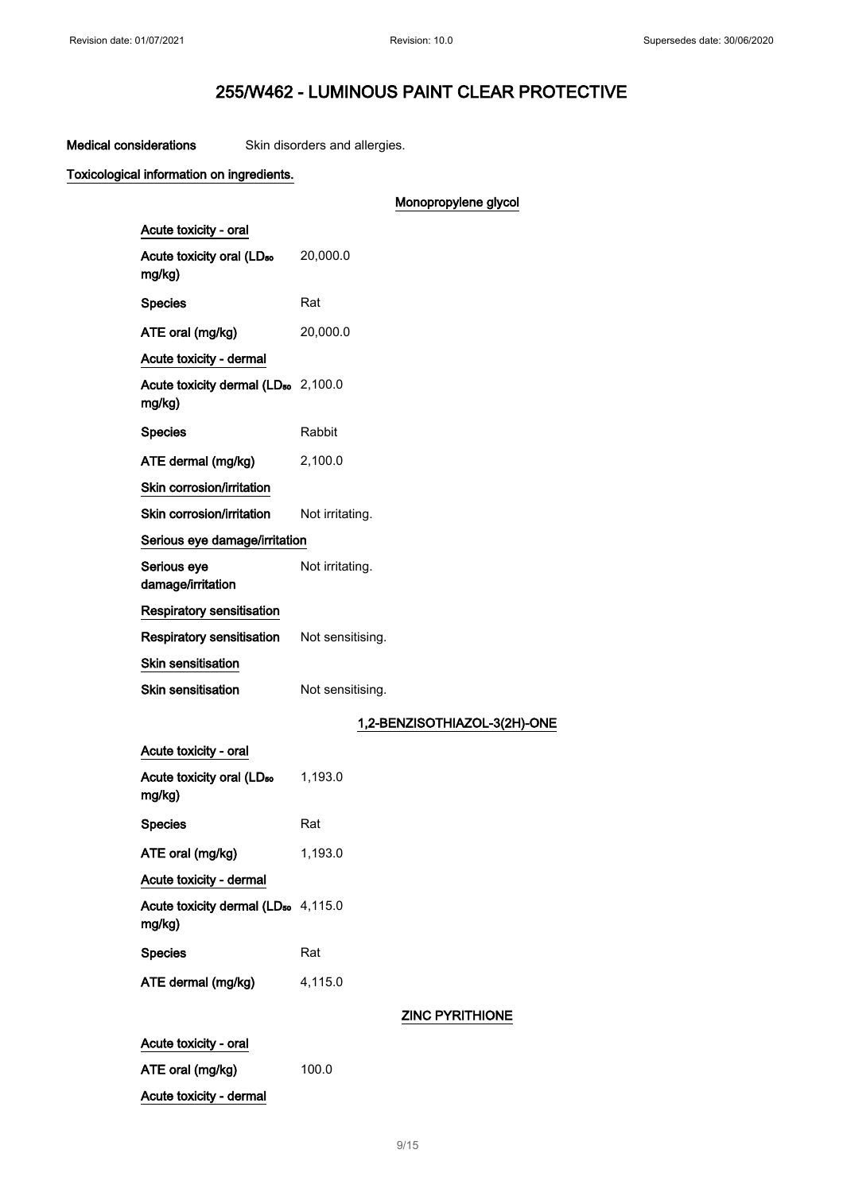# Medical considerations Skin disorders and allergies.

# Toxicological information on ingredients.

|                                                           | Monopropylene glycol         |
|-----------------------------------------------------------|------------------------------|
| Acute toxicity - oral                                     |                              |
| Acute toxicity oral (LD <sub>50</sub> 20,000.0<br>mg/kg)  |                              |
| <b>Species</b>                                            | Rat                          |
| ATE oral (mg/kg)                                          | 20,000.0                     |
| Acute toxicity - dermal                                   |                              |
| Acute toxicity dermal (LD <sub>50</sub> 2,100.0<br>mg/kg) |                              |
| <b>Species</b>                                            | Rabbit                       |
| ATE dermal (mg/kg)                                        | 2,100.0                      |
| Skin corrosion/irritation                                 |                              |
| Skin corrosion/irritation                                 | Not irritating.              |
| Serious eye damage/irritation                             |                              |
| Serious eye<br>damage/irritation                          | Not irritating.              |
| <b>Respiratory sensitisation</b>                          |                              |
| Respiratory sensitisation Not sensitising.                |                              |
| Skin sensitisation                                        |                              |
| Skin sensitisation                                        | Not sensitising.             |
|                                                           | 1,2-BENZISOTHIAZOL-3(2H)-ONE |
| Acute toxicity - oral                                     |                              |
| Acute toxicity oral (LD <sub>50</sub><br>mg/kg)           | 1,193.0                      |
| <b>Species</b>                                            | Rat                          |
| ATE oral (mg/kg)                                          | 1,193.0                      |
| Acute toxicity - dermal                                   |                              |
| Acute toxicity dermal (LD <sub>50</sub> 4,115.0<br>mg/kg) |                              |
| <b>Species</b>                                            | Rat                          |
| ATE dermal (mg/kg)                                        | 4,115.0                      |
|                                                           |                              |

# ZINC PYRITHIONE

| Acute toxicity - oral   |       |
|-------------------------|-------|
| ATE oral (mg/kg)        | 100.0 |
| Acute toxicity - dermal |       |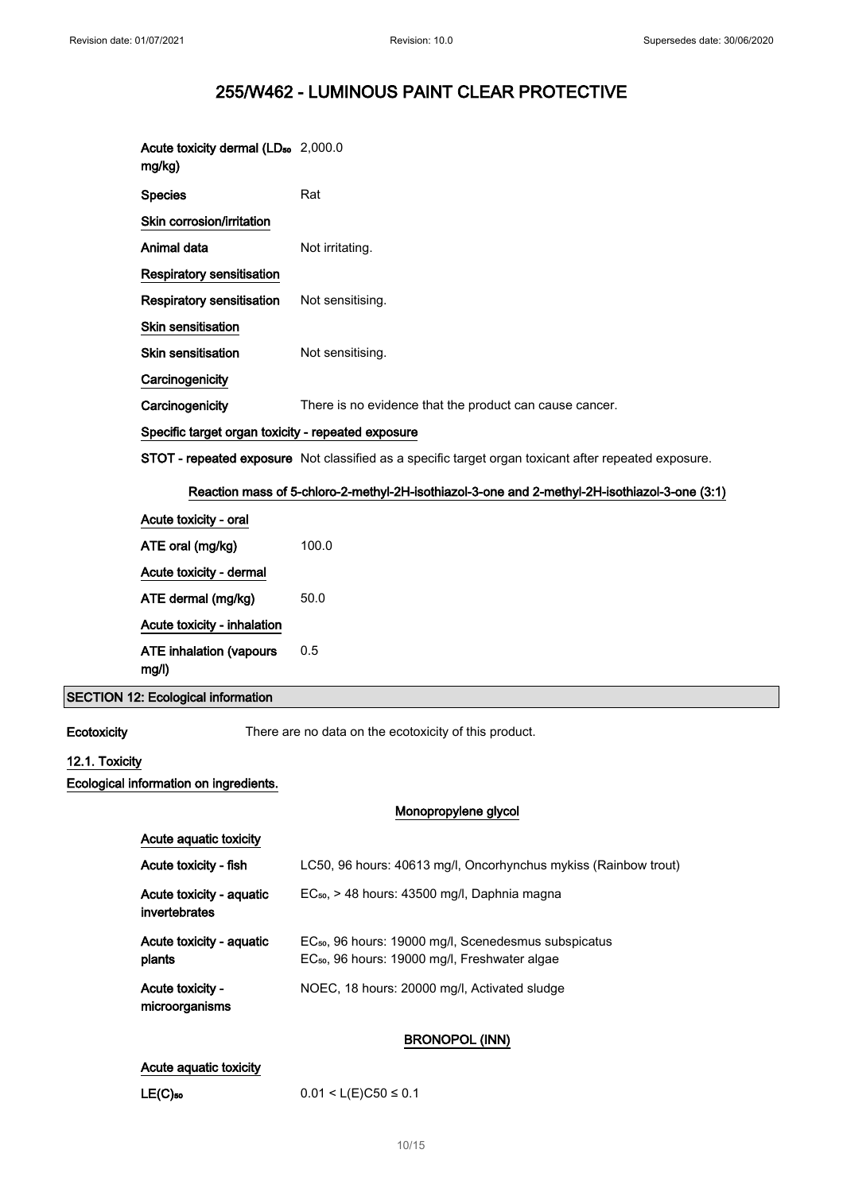| Acute toxicity dermal (LD <sub>50</sub> 2,000.0<br>mg/kg)                                     |                                                                                                      |  |
|-----------------------------------------------------------------------------------------------|------------------------------------------------------------------------------------------------------|--|
| <b>Species</b>                                                                                | Rat                                                                                                  |  |
| Skin corrosion/irritation                                                                     |                                                                                                      |  |
| Animal data                                                                                   | Not irritating.                                                                                      |  |
| <b>Respiratory sensitisation</b>                                                              |                                                                                                      |  |
| <b>Respiratory sensitisation</b>                                                              | Not sensitising.                                                                                     |  |
| <b>Skin sensitisation</b>                                                                     |                                                                                                      |  |
| Skin sensitisation                                                                            | Not sensitising.                                                                                     |  |
| Carcinogenicity                                                                               |                                                                                                      |  |
| Carcinogenicity                                                                               | There is no evidence that the product can cause cancer.                                              |  |
| Specific target organ toxicity - repeated exposure                                            |                                                                                                      |  |
|                                                                                               | STOT - repeated exposure Not classified as a specific target organ toxicant after repeated exposure. |  |
| Reaction mass of 5-chloro-2-methyl-2H-isothiazol-3-one and 2-methyl-2H-isothiazol-3-one (3:1) |                                                                                                      |  |
| Acute toxicity - oral                                                                         |                                                                                                      |  |
| ATE oral (mg/kg)                                                                              | 100.0                                                                                                |  |
| Acute toxicity - dermal                                                                       |                                                                                                      |  |
| ATE dermal (mg/kg)                                                                            | 50.0                                                                                                 |  |
| Acute toxicity - inhalation                                                                   |                                                                                                      |  |
| <b>ATE inhalation (vapours</b><br>mg/l)                                                       | 0.5                                                                                                  |  |

## SECTION 12: Ecological information

Ecotoxicity There are no data on the ecotoxicity of this product.

# 12.1. Toxicity

Ecological information on ingredients.

### Monopropylene glycol

| Acute aguatic toxicity                    |                                                                                                                               |
|-------------------------------------------|-------------------------------------------------------------------------------------------------------------------------------|
| Acute toxicity - fish                     | LC50, 96 hours: 40613 mg/l, Oncorhynchus mykiss (Rainbow trout)                                                               |
| Acute toxicity - aquatic<br>invertebrates | $EC_{50}$ , > 48 hours: 43500 mg/l, Daphnia magna                                                                             |
| Acute toxicity - aguatic<br>plants        | EC <sub>50</sub> , 96 hours: 19000 mg/l, Scenedesmus subspicatus<br>EC <sub>50</sub> , 96 hours: 19000 mg/l, Freshwater algae |
| Acute toxicity -<br>microorganisms        | NOEC, 18 hours: 20000 mg/l, Activated sludge                                                                                  |

# BRONOPOL (INN)

# Acute aquatic toxicity

| LE(C)50 | $0.01 < L(E)C50 \le 0.1$ |
|---------|--------------------------|
|---------|--------------------------|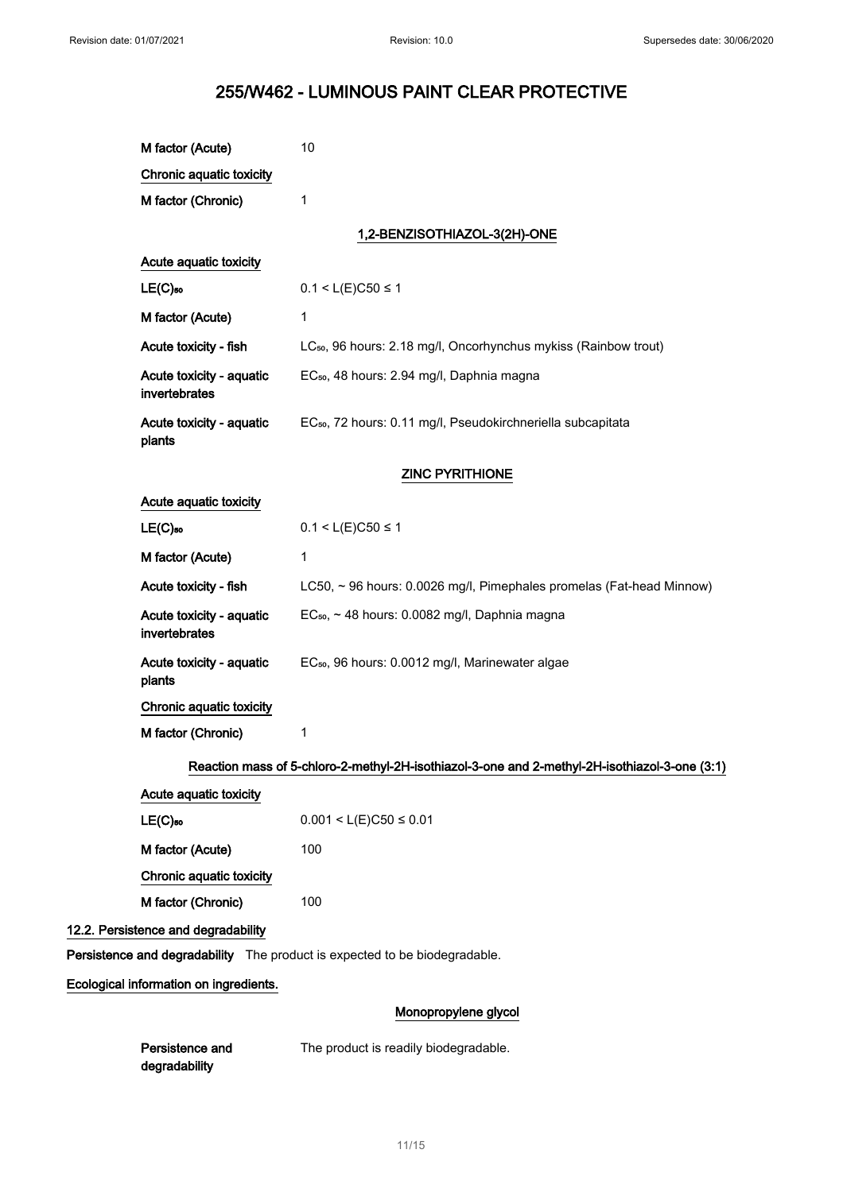| M factor (Acute)                                                           | 10                                                                                            |
|----------------------------------------------------------------------------|-----------------------------------------------------------------------------------------------|
| Chronic aquatic toxicity                                                   |                                                                                               |
| M factor (Chronic)                                                         | 1                                                                                             |
|                                                                            | 1,2-BENZISOTHIAZOL-3(2H)-ONE                                                                  |
| Acute aquatic toxicity                                                     |                                                                                               |
| $LE(C)$ <sub>50</sub>                                                      | $0.1 < L(E)C50 \le 1$                                                                         |
| M factor (Acute)                                                           | 1                                                                                             |
| Acute toxicity - fish                                                      | LC <sub>50</sub> , 96 hours: 2.18 mg/l, Oncorhynchus mykiss (Rainbow trout)                   |
| Acute toxicity - aquatic<br>invertebrates                                  | EC <sub>50</sub> , 48 hours: 2.94 mg/l, Daphnia magna                                         |
| Acute toxicity - aquatic<br>plants                                         | EC <sub>50</sub> , 72 hours: 0.11 mg/l, Pseudokirchneriella subcapitata                       |
|                                                                            | <b>ZINC PYRITHIONE</b>                                                                        |
| Acute aquatic toxicity                                                     |                                                                                               |
| $LE(C)$ 50                                                                 | $0.1 < L(E)C50 \le 1$                                                                         |
| M factor (Acute)                                                           | 1                                                                                             |
| Acute toxicity - fish                                                      | LC50, ~ 96 hours: 0.0026 mg/l, Pimephales promelas (Fat-head Minnow)                          |
| Acute toxicity - aquatic<br>invertebrates                                  | EC <sub>50</sub> , ~ 48 hours: 0.0082 mg/l, Daphnia magna                                     |
| Acute toxicity - aquatic<br>plants                                         | EC <sub>50</sub> , 96 hours: 0.0012 mg/l, Marinewater algae                                   |
| Chronic aquatic toxicity                                                   |                                                                                               |
| M factor (Chronic)                                                         | 1                                                                                             |
|                                                                            | Reaction mass of 5-chloro-2-methyl-2H-isothiazol-3-one and 2-methyl-2H-isothiazol-3-one (3:1) |
| Acute aquatic toxicity                                                     |                                                                                               |
| $LE(C)$ 50                                                                 | $0.001 < L(E)C50 \le 0.01$                                                                    |
| M factor (Acute)                                                           | 100                                                                                           |
| Chronic aquatic toxicity                                                   |                                                                                               |
| M factor (Chronic)                                                         | 100                                                                                           |
| 12.2. Persistence and degradability                                        |                                                                                               |
| Persistence and degradability The product is expected to be biodegradable. |                                                                                               |
| Ecological information on ingredients.                                     |                                                                                               |
|                                                                            | Monopropylene glycol                                                                          |
| Persistence and<br>degradability                                           | The product is readily biodegradable.                                                         |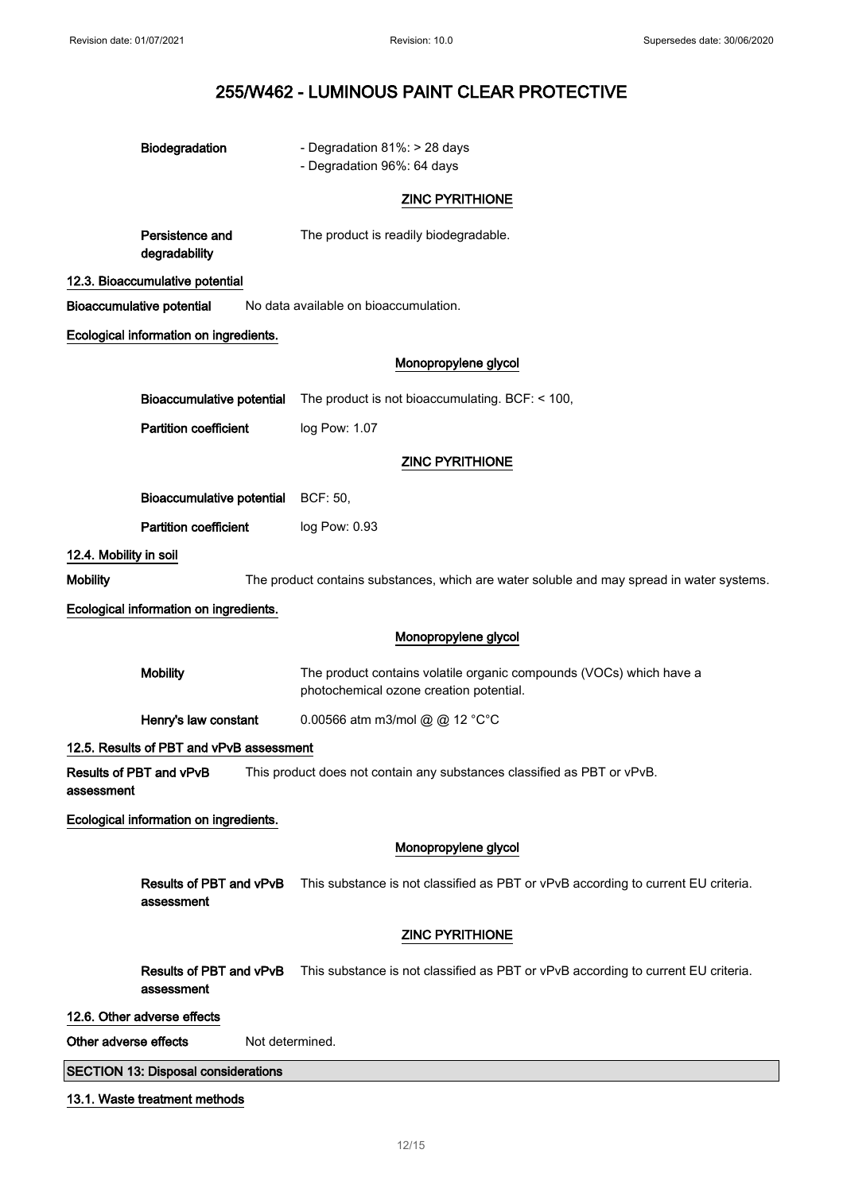|                                                                                                                  | Biodegradation                             | - Degradation 81%: > 28 days<br>- Degradation 96%: 64 days                                                     |
|------------------------------------------------------------------------------------------------------------------|--------------------------------------------|----------------------------------------------------------------------------------------------------------------|
|                                                                                                                  |                                            | <b>ZINC PYRITHIONE</b>                                                                                         |
|                                                                                                                  | Persistence and<br>degradability           | The product is readily biodegradable.                                                                          |
|                                                                                                                  | 12.3. Bioaccumulative potential            |                                                                                                                |
|                                                                                                                  | <b>Bioaccumulative potential</b>           | No data available on bioaccumulation.                                                                          |
|                                                                                                                  | Ecological information on ingredients.     |                                                                                                                |
|                                                                                                                  |                                            | Monopropylene glycol                                                                                           |
|                                                                                                                  | <b>Bioaccumulative potential</b>           | The product is not bioaccumulating. BCF: < 100,                                                                |
|                                                                                                                  | <b>Partition coefficient</b>               | log Pow: 1.07                                                                                                  |
|                                                                                                                  |                                            | <b>ZINC PYRITHIONE</b>                                                                                         |
|                                                                                                                  | <b>Bioaccumulative potential</b>           | BCF: 50,                                                                                                       |
|                                                                                                                  | <b>Partition coefficient</b>               | log Pow: 0.93                                                                                                  |
| 12.4. Mobility in soil                                                                                           |                                            |                                                                                                                |
| <b>Mobility</b>                                                                                                  |                                            | The product contains substances, which are water soluble and may spread in water systems.                      |
|                                                                                                                  | Ecological information on ingredients.     |                                                                                                                |
|                                                                                                                  |                                            | Monopropylene glycol                                                                                           |
|                                                                                                                  | <b>Mobility</b>                            | The product contains volatile organic compounds (VOCs) which have a<br>photochemical ozone creation potential. |
|                                                                                                                  | Henry's law constant                       | 0.00566 atm m3/mol @ @ 12 °C°C                                                                                 |
|                                                                                                                  | 12.5. Results of PBT and vPvB assessment   |                                                                                                                |
| Results of PBT and vPvB<br>This product does not contain any substances classified as PBT or vPvB.<br>assessment |                                            |                                                                                                                |
|                                                                                                                  | Ecological information on ingredients.     |                                                                                                                |
|                                                                                                                  |                                            | Monopropylene glycol                                                                                           |
|                                                                                                                  | Results of PBT and vPvB<br>assessment      | This substance is not classified as PBT or vPvB according to current EU criteria.                              |
|                                                                                                                  |                                            | <b>ZINC PYRITHIONE</b>                                                                                         |
|                                                                                                                  | Results of PBT and vPvB<br>assessment      | This substance is not classified as PBT or vPvB according to current EU criteria.                              |
|                                                                                                                  | 12.6. Other adverse effects                |                                                                                                                |
| Other adverse effects<br>Not determined.                                                                         |                                            |                                                                                                                |
|                                                                                                                  | <b>SECTION 13: Disposal considerations</b> |                                                                                                                |
| 13.1. Waste treatment methods                                                                                    |                                            |                                                                                                                |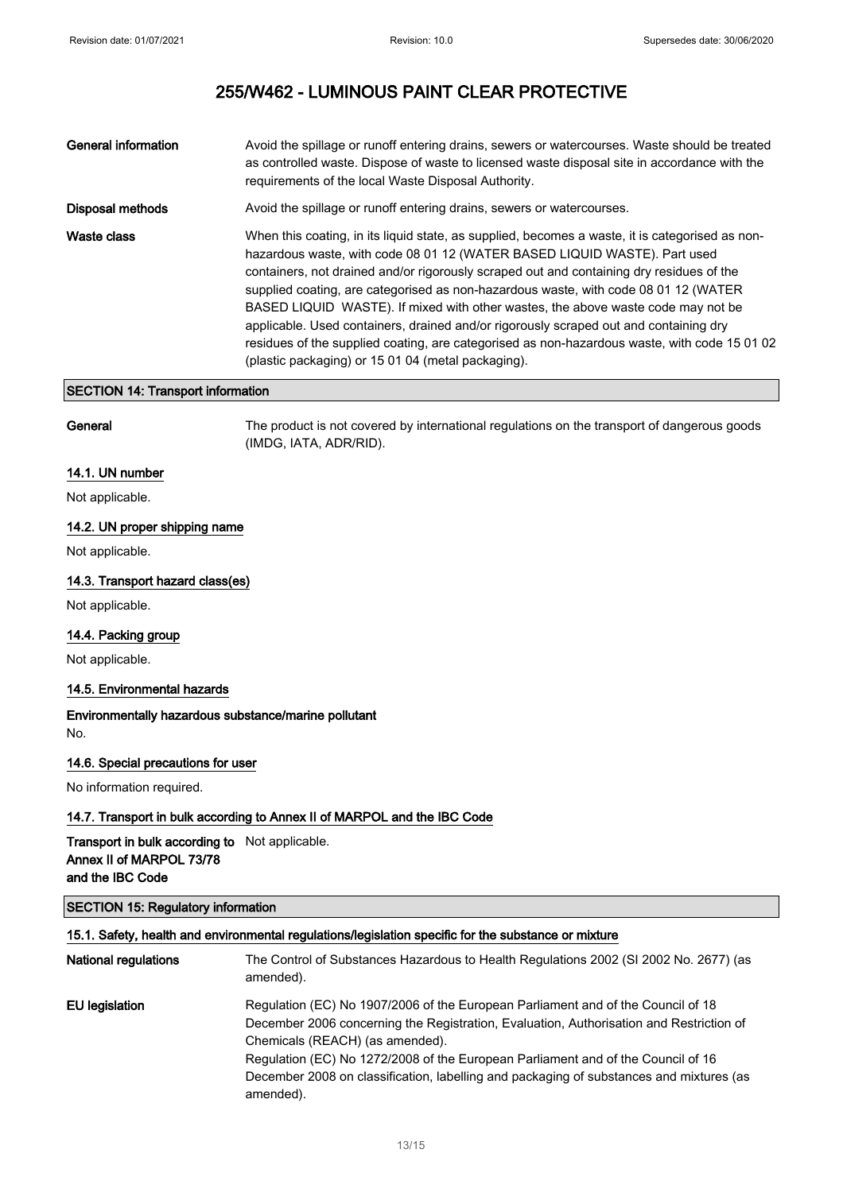| <b>General information</b> | Avoid the spillage or runoff entering drains, sewers or watercourses. Waste should be treated<br>as controlled waste. Dispose of waste to licensed waste disposal site in accordance with the<br>requirements of the local Waste Disposal Authority.                                                                                                                                                                                                                                                                                                                                                                                                                                               |
|----------------------------|----------------------------------------------------------------------------------------------------------------------------------------------------------------------------------------------------------------------------------------------------------------------------------------------------------------------------------------------------------------------------------------------------------------------------------------------------------------------------------------------------------------------------------------------------------------------------------------------------------------------------------------------------------------------------------------------------|
| Disposal methods           | Avoid the spillage or runoff entering drains, sewers or watercourses.                                                                                                                                                                                                                                                                                                                                                                                                                                                                                                                                                                                                                              |
| Waste class                | When this coating, in its liguid state, as supplied, becomes a waste, it is categorised as non-<br>hazardous waste, with code 08 01 12 (WATER BASED LIQUID WASTE). Part used<br>containers, not drained and/or rigorously scraped out and containing dry residues of the<br>supplied coating, are categorised as non-hazardous waste, with code 08 01 12 (WATER<br>BASED LIQUID WASTE). If mixed with other wastes, the above waste code may not be<br>applicable. Used containers, drained and/or rigorously scraped out and containing dry<br>residues of the supplied coating, are categorised as non-hazardous waste, with code 15 01 02<br>(plastic packaging) or 15 01 04 (metal packaging). |

### SECTION 14: Transport information

General The product is not covered by international regulations on the transport of dangerous goods (IMDG, IATA, ADR/RID).

## 14.1. UN number

Not applicable.

## 14.2. UN proper shipping name

Not applicable.

## 14.3. Transport hazard class(es)

Not applicable.

#### 14.4. Packing group

Not applicable.

## 14.5. Environmental hazards

Environmentally hazardous substance/marine pollutant No.

#### 14.6. Special precautions for user

No information required.

# 14.7. Transport in bulk according to Annex II of MARPOL and the IBC Code

## Transport in bulk according to Not applicable. Annex II of MARPOL 73/78 and the IBC Code

# SECTION 15: Regulatory information

| 15.1. Safety, health and environmental regulations/legislation specific for the substance or mixture |                                                                                                                                                                                                                                                                                                                                                                                                            |
|------------------------------------------------------------------------------------------------------|------------------------------------------------------------------------------------------------------------------------------------------------------------------------------------------------------------------------------------------------------------------------------------------------------------------------------------------------------------------------------------------------------------|
| <b>National regulations</b>                                                                          | The Control of Substances Hazardous to Health Regulations 2002 (SI 2002 No. 2677) (as<br>amended).                                                                                                                                                                                                                                                                                                         |
| EU legislation                                                                                       | Regulation (EC) No 1907/2006 of the European Parliament and of the Council of 18<br>December 2006 concerning the Registration, Evaluation, Authorisation and Restriction of<br>Chemicals (REACH) (as amended).<br>Regulation (EC) No 1272/2008 of the European Parliament and of the Council of 16<br>December 2008 on classification, labelling and packaging of substances and mixtures (as<br>amended). |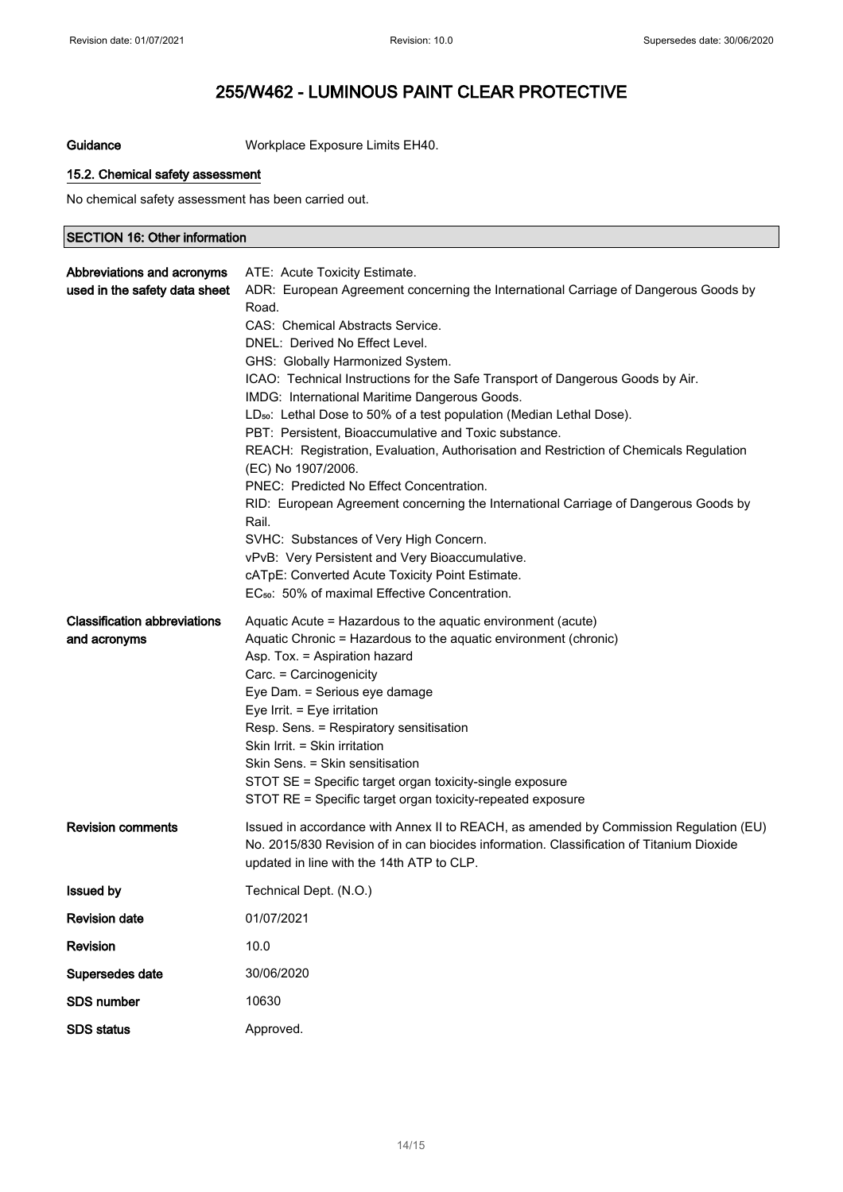Guidance Workplace Exposure Limits EH40.

## 15.2. Chemical safety assessment

No chemical safety assessment has been carried out.

## SECTION 16: Other information

| Abbreviations and acronyms          | ATE: Acute Toxicity Estimate.                                                                                |
|-------------------------------------|--------------------------------------------------------------------------------------------------------------|
| used in the safety data sheet       | ADR: European Agreement concerning the International Carriage of Dangerous Goods by                          |
|                                     | Road.                                                                                                        |
|                                     | CAS: Chemical Abstracts Service.                                                                             |
|                                     | DNEL: Derived No Effect Level.                                                                               |
|                                     | GHS: Globally Harmonized System.                                                                             |
|                                     | ICAO: Technical Instructions for the Safe Transport of Dangerous Goods by Air.                               |
|                                     | IMDG: International Maritime Dangerous Goods.                                                                |
|                                     | LD <sub>50</sub> : Lethal Dose to 50% of a test population (Median Lethal Dose).                             |
|                                     | PBT: Persistent, Bioaccumulative and Toxic substance.                                                        |
|                                     | REACH: Registration, Evaluation, Authorisation and Restriction of Chemicals Regulation<br>(EC) No 1907/2006. |
|                                     | PNEC: Predicted No Effect Concentration.                                                                     |
|                                     | RID: European Agreement concerning the International Carriage of Dangerous Goods by<br>Rail.                 |
|                                     | SVHC: Substances of Very High Concern.                                                                       |
|                                     | vPvB: Very Persistent and Very Bioaccumulative.                                                              |
|                                     | cATpE: Converted Acute Toxicity Point Estimate.                                                              |
|                                     | EC <sub>50</sub> : 50% of maximal Effective Concentration.                                                   |
| <b>Classification abbreviations</b> | Aquatic Acute = Hazardous to the aquatic environment (acute)                                                 |
| and acronyms                        | Aquatic Chronic = Hazardous to the aquatic environment (chronic)                                             |
|                                     | Asp. Tox. = Aspiration hazard                                                                                |
|                                     | Carc. = Carcinogenicity                                                                                      |
|                                     | Eye Dam. = Serious eye damage                                                                                |
|                                     | Eye Irrit. = Eye irritation                                                                                  |
|                                     | Resp. Sens. = Respiratory sensitisation<br>Skin Irrit. = Skin irritation                                     |
|                                     | Skin Sens. = Skin sensitisation                                                                              |
|                                     | STOT SE = Specific target organ toxicity-single exposure                                                     |
|                                     | STOT RE = Specific target organ toxicity-repeated exposure                                                   |
|                                     |                                                                                                              |
| <b>Revision comments</b>            | Issued in accordance with Annex II to REACH, as amended by Commission Regulation (EU)                        |
|                                     | No. 2015/830 Revision of in can biocides information. Classification of Titanium Dioxide                     |
|                                     | updated in line with the 14th ATP to CLP.                                                                    |
| <b>Issued by</b>                    | Technical Dept. (N.O.)                                                                                       |
| <b>Revision date</b>                | 01/07/2021                                                                                                   |
| Revision                            | 10.0                                                                                                         |
| Supersedes date                     | 30/06/2020                                                                                                   |
| <b>SDS number</b>                   | 10630                                                                                                        |
| <b>SDS status</b>                   | Approved.                                                                                                    |